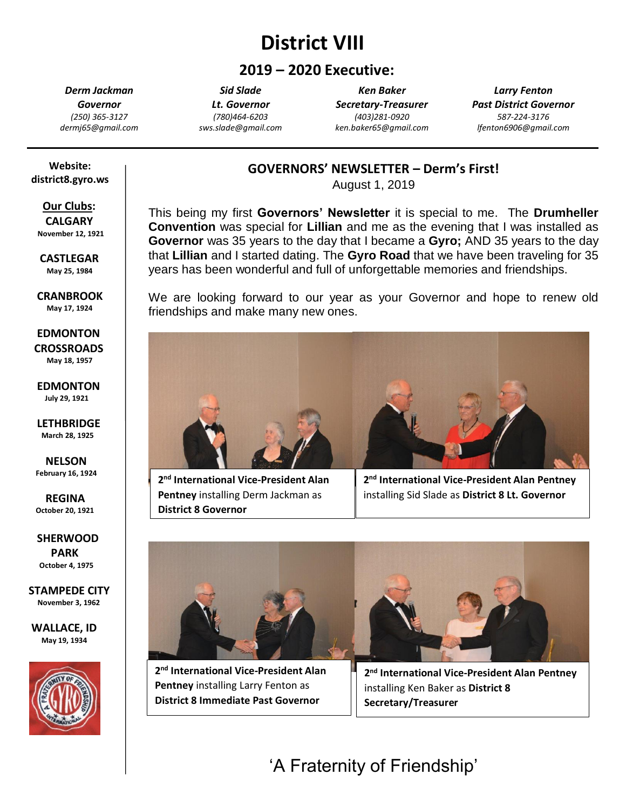# **District VIII**

# **2019 – 2020 Executive:**

*Derm Jackman Governor (250) 365-3127 dermj65@gmail.com*

*Sid Slade Lt. Governor (780)464-6203 sws.slade@gmail.com*

*Ken Baker Secretary-Treasurer (403)281-0920 ken.baker65@gmail.com*

*Larry Fenton Past District Governor 587-224-3176 lfenton6906@gmail.com*

#### **Website: district8.gyro.ws**

#### **Our Clubs: CALGARY November 12, 1921**

 **CASTLEGAR May 25, 1984**

 **CRANBROOK May 17, 1924**

 **EDMONTON CROSSROADS May 18, 1957**

 **EDMONTON July 29, 1921**

 **LETHBRIDGE March 28, 1925**

 **NELSON February 16, 1924**

 **REGINA October 20, 1921**  $\overline{\phantom{a}}$ 

 **SHERWOOD PARK October 4, 1975**

**STAMPEDE CITY November 3, 1962**

**WALLACE, ID May 19, 1934**



## **GOVERNORS' NEWSLETTER – Derm's First!**

August 1, 2019

This being my first **Governors' Newsletter** it is special to me. The **Drumheller Convention** was special for **Lillian** and me as the evening that I was installed as **Governor** was 35 years to the day that I became a **Gyro;** AND 35 years to the day that **Lillian** and I started dating. The **Gyro Road** that we have been traveling for 35 years has been wonderful and full of unforgettable memories and friendships.

We are looking forward to our year as your Governor and hope to renew old friendships and make many new ones.



**2 nd International Vice-President Alan Pentney** installing Derm Jackman as **District 8 Governor**

**2 nd International Vice-President Alan Pentney** installing Sid Slade as **District 8 Lt. Governor**



**2 nd International Vice-President Alan Pentney** installing Larry Fenton as **District 8 Immediate Past Governor**

**2 nd International Vice-President Alan Pentney** installing Ken Baker as **District 8 Secretary/Treasurer**

**'A Fraternity of**  'A Fraternity of Friendship'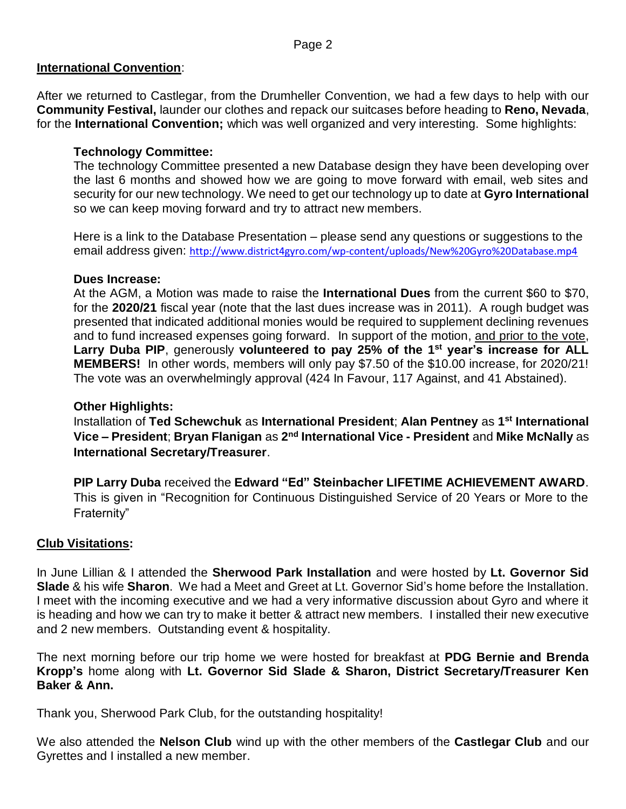#### **International Convention**:

After we returned to Castlegar, from the Drumheller Convention, we had a few days to help with our **Community Festival,** launder our clothes and repack our suitcases before heading to **Reno, Nevada**, for the **International Convention;** which was well organized and very interesting. Some highlights:

### **Technology Committee:**

The technology Committee presented a new Database design they have been developing over the last 6 months and showed how we are going to move forward with email, web sites and security for our new technology. We need to get our technology up to date at **Gyro International** so we can keep moving forward and try to attract new members.

Here is a link to the Database Presentation – please send any questions or suggestions to the email address given: <http://www.district4gyro.com/wp-content/uploads/New%20Gyro%20Database.mp4>

#### **Dues Increase:**

At the AGM, a Motion was made to raise the **International Dues** from the current \$60 to \$70, for the **2020/21** fiscal year (note that the last dues increase was in 2011). A rough budget was presented that indicated additional monies would be required to supplement declining revenues and to fund increased expenses going forward. In support of the motion, and prior to the vote, Larry Duba PIP, generously volunteered to pay 25% of the 1<sup>st</sup> year's increase for ALL **MEMBERS!** In other words, members will only pay \$7.50 of the \$10.00 increase, for 2020/21! The vote was an overwhelmingly approval (424 In Favour, 117 Against, and 41 Abstained).

#### **Other Highlights:**

Installation of **Ted Schewchuk** as **International President**; **Alan Pentney** as **1 st International Vice – President**; **Bryan Flanigan** as **2 nd International Vice - President** and **Mike McNally** as **International Secretary/Treasurer**.

**PIP Larry Duba** received the **Edward "Ed" Steinbacher LIFETIME ACHIEVEMENT AWARD**. This is given in "Recognition for Continuous Distinguished Service of 20 Years or More to the Fraternity"

### **Club Visitations:**

In June Lillian & I attended the **Sherwood Park Installation** and were hosted by **Lt. Governor Sid Slade** & his wife **Sharon**. We had a Meet and Greet at Lt. Governor Sid's home before the Installation. I meet with the incoming executive and we had a very informative discussion about Gyro and where it is heading and how we can try to make it better & attract new members. I installed their new executive and 2 new members. Outstanding event & hospitality.

The next morning before our trip home we were hosted for breakfast at **PDG Bernie and Brenda Kropp's** home along with **Lt. Governor Sid Slade & Sharon, District Secretary/Treasurer Ken Baker & Ann.**

Thank you, Sherwood Park Club, for the outstanding hospitality!

We also attended the **Nelson Club** wind up with the other members of the **Castlegar Club** and our Gyrettes and I installed a new member.